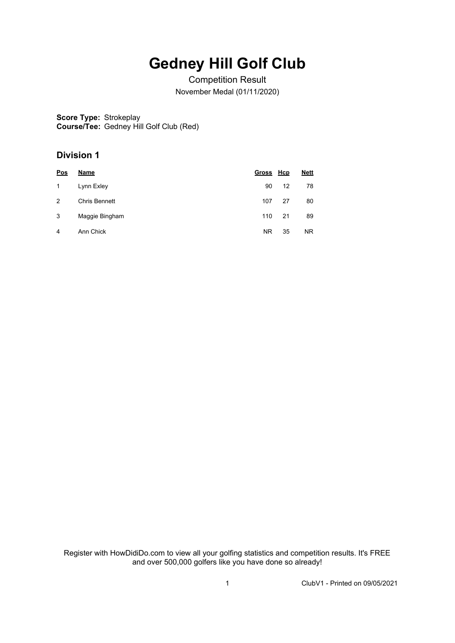## **Gedney Hill Golf Club**

Competition Result November Medal (01/11/2020)

**Score Type:** Strokeplay **Course/Tee:** Gedney Hill Golf Club (Red)

## **Division 1**

| <u>Pos</u> | Name           | Gross Hcp |    | <b>Nett</b> |
|------------|----------------|-----------|----|-------------|
| 1          | Lynn Exley     | 90        | 12 | 78          |
| 2          | Chris Bennett  | 107       | 27 | 80          |
| 3          | Maggie Bingham | 110       | 21 | 89          |
| 4          | Ann Chick      | NR.       | 35 | NR.         |

Register with HowDidiDo.com to view all your golfing statistics and competition results. It's FREE and over 500,000 golfers like you have done so already!